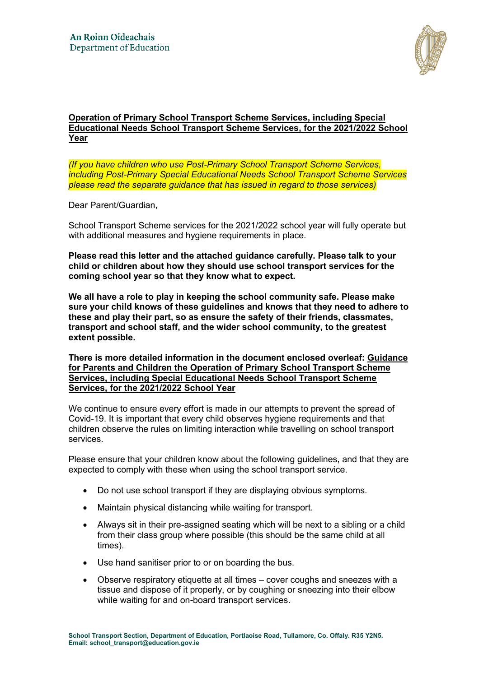

### **Operation of Primary School Transport Scheme Services, including Special Educational Needs School Transport Scheme Services, for the 2021/2022 School Year**

*(If you have children who use Post-Primary School Transport Scheme Services, including Post-Primary Special Educational Needs School Transport Scheme Services please read the separate guidance that has issued in regard to those services)*

Dear Parent/Guardian,

School Transport Scheme services for the 2021/2022 school year will fully operate but with additional measures and hygiene requirements in place.

**Please read this letter and the attached guidance carefully. Please talk to your child or children about how they should use school transport services for the coming school year so that they know what to expect.** 

**We all have a role to play in keeping the school community safe. Please make sure your child knows of these guidelines and knows that they need to adhere to these and play their part, so as ensure the safety of their friends, classmates, transport and school staff, and the wider school community, to the greatest extent possible.** 

**There is more detailed information in the document enclosed overleaf: Guidance for Parents and Children the Operation of Primary School Transport Scheme Services, including Special Educational Needs School Transport Scheme Services, for the 2021/2022 School Year** 

We continue to ensure every effort is made in our attempts to prevent the spread of Covid-19. It is important that every child observes hygiene requirements and that children observe the rules on limiting interaction while travelling on school transport services.

Please ensure that your children know about the following guidelines, and that they are expected to comply with these when using the school transport service.

- Do not use school transport if they are displaying obvious symptoms.
- Maintain physical distancing while waiting for transport.
- Always sit in their pre-assigned seating which will be next to a sibling or a child from their class group where possible (this should be the same child at all times).
- Use hand sanitiser prior to or on boarding the bus.
- Observe respiratory etiquette at all times cover coughs and sneezes with a tissue and dispose of it properly, or by coughing or sneezing into their elbow while waiting for and on-board transport services.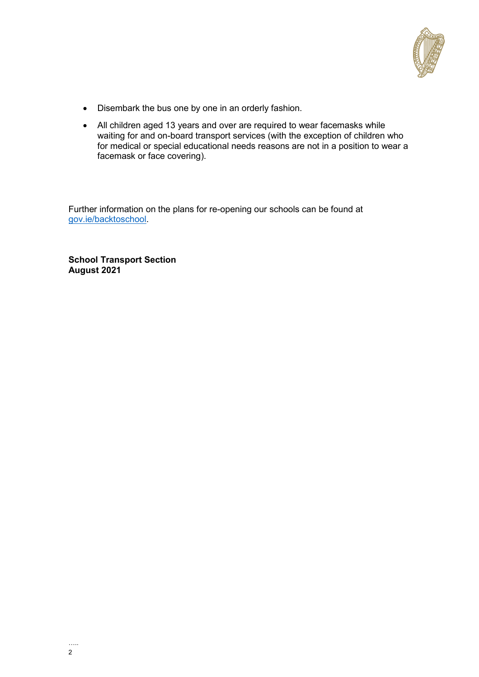

- Disembark the bus one by one in an orderly fashion.
- All children aged 13 years and over are required to wear facemasks while waiting for and on-board transport services (with the exception of children who for medical or special educational needs reasons are not in a position to wear a facemask or face covering).

Further information on the plans for re-opening our schools can be found at [gov.ie/backtoschool.](http://gov.ie/backtoschool)

**School Transport Section August 2021**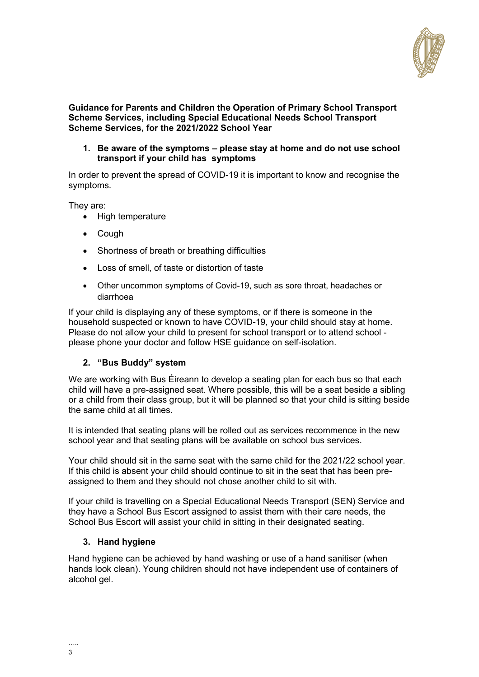

#### **Guidance for Parents and Children the Operation of Primary School Transport Scheme Services, including Special Educational Needs School Transport Scheme Services, for the 2021/2022 School Year**

**1. Be aware of the symptoms – please stay at home and do not use school transport if your child has symptoms**

In order to prevent the spread of COVID-19 it is important to know and recognise the symptoms.

They are:

- High temperature
- Cough
- Shortness of breath or breathing difficulties
- Loss of smell, of taste or distortion of taste
- Other uncommon symptoms of Covid-19, such as sore throat, headaches or diarrhoea

If your child is displaying any of these symptoms, or if there is someone in the household suspected or known to have COVID-19, your child should stay at home. Please do not allow your child to present for school transport or to attend school please phone your doctor and follow HSE guidance on self-isolation.

### **2. "Bus Buddy" system**

We are working with Bus Éireann to develop a seating plan for each bus so that each child will have a pre-assigned seat. Where possible, this will be a seat beside a sibling or a child from their class group, but it will be planned so that your child is sitting beside the same child at all times.

It is intended that seating plans will be rolled out as services recommence in the new school year and that seating plans will be available on school bus services.

Your child should sit in the same seat with the same child for the 2021/22 school year. If this child is absent your child should continue to sit in the seat that has been preassigned to them and they should not chose another child to sit with.

If your child is travelling on a Special Educational Needs Transport (SEN) Service and they have a School Bus Escort assigned to assist them with their care needs, the School Bus Escort will assist your child in sitting in their designated seating.

### **3. Hand hygiene**

Hand hygiene can be achieved by hand washing or use of a hand sanitiser (when hands look clean). Young children should not have independent use of containers of alcohol gel.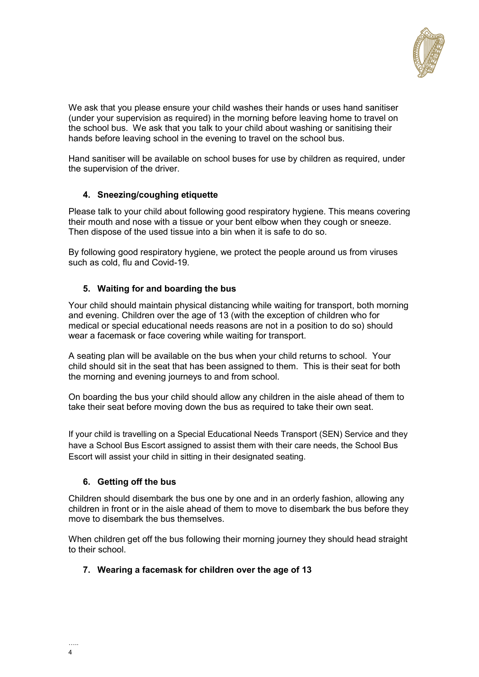

We ask that you please ensure your child washes their hands or uses hand sanitiser (under your supervision as required) in the morning before leaving home to travel on the school bus. We ask that you talk to your child about washing or sanitising their hands before leaving school in the evening to travel on the school bus.

Hand sanitiser will be available on school buses for use by children as required, under the supervision of the driver.

# **4. Sneezing/coughing etiquette**

Please talk to your child about following good respiratory hygiene. This means covering their mouth and nose with a tissue or your bent elbow when they cough or sneeze. Then dispose of the used tissue into a bin when it is safe to do so.

By following good respiratory hygiene, we protect the people around us from viruses such as cold, flu and Covid-19.

### **5. Waiting for and boarding the bus**

Your child should maintain physical distancing while waiting for transport, both morning and evening. Children over the age of 13 (with the exception of children who for medical or special educational needs reasons are not in a position to do so) should wear a facemask or face covering while waiting for transport.

A seating plan will be available on the bus when your child returns to school. Your child should sit in the seat that has been assigned to them. This is their seat for both the morning and evening journeys to and from school.

On boarding the bus your child should allow any children in the aisle ahead of them to take their seat before moving down the bus as required to take their own seat.

If your child is travelling on a Special Educational Needs Transport (SEN) Service and they have a School Bus Escort assigned to assist them with their care needs, the School Bus Escort will assist your child in sitting in their designated seating.

### **6. Getting off the bus**

Children should disembark the bus one by one and in an orderly fashion, allowing any children in front or in the aisle ahead of them to move to disembark the bus before they move to disembark the bus themselves.

When children get off the bus following their morning journey they should head straight to their school.

### **7. Wearing a facemask for children over the age of 13**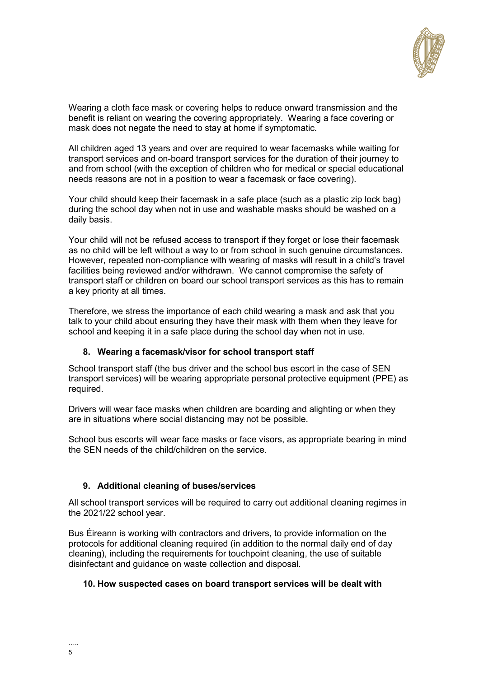

Wearing a cloth face mask or covering helps to reduce onward transmission and the benefit is reliant on wearing the covering appropriately. Wearing a face covering or mask does not negate the need to stay at home if symptomatic.

All children aged 13 years and over are required to wear facemasks while waiting for transport services and on-board transport services for the duration of their journey to and from school (with the exception of children who for medical or special educational needs reasons are not in a position to wear a facemask or face covering).

Your child should keep their facemask in a safe place (such as a plastic zip lock bag) during the school day when not in use and washable masks should be washed on a daily basis.

Your child will not be refused access to transport if they forget or lose their facemask as no child will be left without a way to or from school in such genuine circumstances. However, repeated non-compliance with wearing of masks will result in a child's travel facilities being reviewed and/or withdrawn. We cannot compromise the safety of transport staff or children on board our school transport services as this has to remain a key priority at all times.

Therefore, we stress the importance of each child wearing a mask and ask that you talk to your child about ensuring they have their mask with them when they leave for school and keeping it in a safe place during the school day when not in use.

# **8. Wearing a facemask/visor for school transport staff**

School transport staff (the bus driver and the school bus escort in the case of SEN transport services) will be wearing appropriate personal protective equipment (PPE) as required.

Drivers will wear face masks when children are boarding and alighting or when they are in situations where social distancing may not be possible.

School bus escorts will wear face masks or face visors, as appropriate bearing in mind the SEN needs of the child/children on the service.

# **9. Additional cleaning of buses/services**

All school transport services will be required to carry out additional cleaning regimes in the 2021/22 school year.

Bus Éireann is working with contractors and drivers, to provide information on the protocols for additional cleaning required (in addition to the normal daily end of day cleaning), including the requirements for touchpoint cleaning, the use of suitable disinfectant and guidance on waste collection and disposal.

### **10. How suspected cases on board transport services will be dealt with**